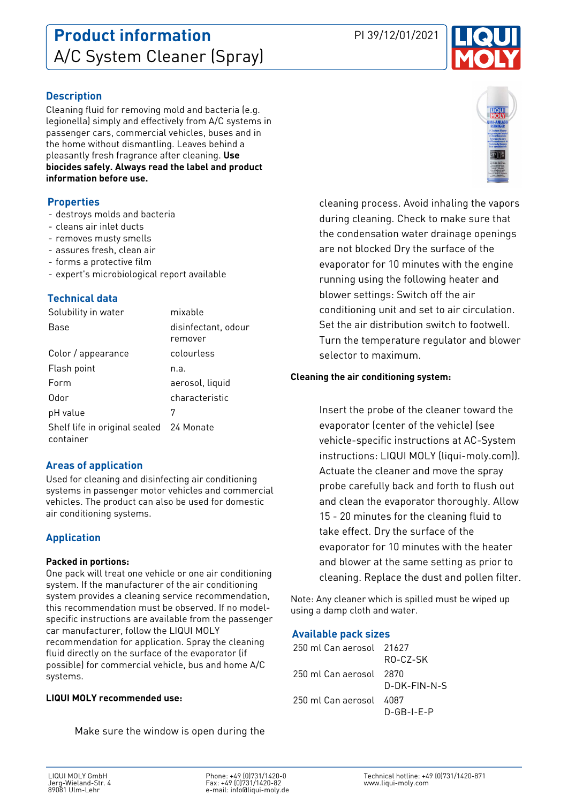# **Description**

Cleaning fluid for removing mold and bacteria (e.g. legionella) simply and effectively from A/C systems in passenger cars, commercial vehicles, buses and in the home without dismantling. Leaves behind a pleasantly fresh fragrance after cleaning. **Use biocides safely. Always read the label and product information before use.**

### **Properties**

- destroys molds and bacteria
- cleans air inlet ducts
- removes musty smells
- assures fresh, clean air
- forms a protective film
- expert's microbiological report available

## **Technical data**

| Solubility in water                                  | mixable                        |
|------------------------------------------------------|--------------------------------|
| Base                                                 | disinfectant, odour<br>remover |
| Color / appearance                                   | colourless                     |
| Flash point                                          | n.a.                           |
| Form                                                 | aerosol, liquid                |
| Odor                                                 | characteristic                 |
| pH value                                             | 7                              |
| Shelf life in original sealed 24 Monate<br>container |                                |

## **Areas of application**

Used for cleaning and disinfecting air conditioning systems in passenger motor vehicles and commercial vehicles. The product can also be used for domestic air conditioning systems.

# **Application**

#### **Packed in portions:**

One pack will treat one vehicle or one air conditioning system. If the manufacturer of the air conditioning system provides a cleaning service recommendation, this recommendation must be observed. If no modelspecific instructions are available from the passenger car manufacturer, follow the LIQUI MOLY recommendation for application. Spray the cleaning fluid directly on the surface of the evaporator (if possible) for commercial vehicle, bus and home A/C systems.

#### **LIQUI MOLY recommended use:**

Make sure the window is open during the

Phone: +49 (0)731/1420-0 Fax: +49 (0)731/1420-82 e-mail: info@liqui-moly.de cleaning process. Avoid inhaling the vapors during cleaning. Check to make sure that the condensation water drainage openings are not blocked Dry the surface of the evaporator for 10 minutes with the engine running using the following heater and blower settings: Switch off the air conditioning unit and set to air circulation. Set the air distribution switch to footwell. Turn the temperature regulator and blower selector to maximum.

### **Cleaning the air conditioning system:**

Insert the probe of the cleaner toward the evaporator (center of the vehicle) (see vehicle-specific instructions at AC-System instructions: LIQUI MOLY (liqui-moly.com)). Actuate the cleaner and move the spray probe carefully back and forth to flush out and clean the evaporator thoroughly. Allow 15 - 20 minutes for the cleaning fluid to take effect. Dry the surface of the evaporator for 10 minutes with the heater and blower at the same setting as prior to cleaning. Replace the dust and pollen filter.

Note: Any cleaner which is spilled must be wiped up using a damp cloth and water.

## **Available pack sizes**

250 ml Can aerosol 21627 RO-CZ-SK 250 ml Can aerosol 2870 D-DK-FIN-N-S 250 ml Can aerosol 4087 D-GB-I-E-P